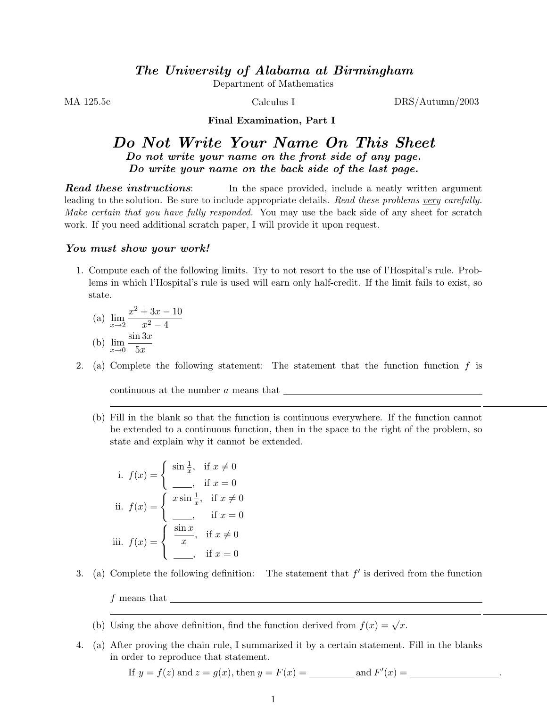Department of Mathematics

MA 125.5c DRS/Autumn/2003 Calculus I

## Final Examination, Part I

## Do Not Write Your Name On This Sheet Do not write your name on the front side of any page. Do write your name on the back side of the last page.

**Read these instructions:** In the space provided, include a neatly written argument leading to the solution. Be sure to include appropriate details. Read these problems very carefully. Make certain that you have fully responded. You may use the back side of any sheet for scratch work. If you need additional scratch paper, I will provide it upon request.

## You must show your work!

1. Compute each of the following limits. Try to not resort to the use of l'Hospital's rule. Problems in which l'Hospital's rule is used will earn only half-credit. If the limit fails to exist, so state.

(a) 
$$
\lim_{x \to 2} \frac{x^2 + 3x - 10}{x^2 - 4}
$$
  
(b) 
$$
\lim_{x \to 0} \frac{\sin 3x}{5x}
$$

2. (a) Complete the following statement: The statement that the function function  $f$  is

continuous at the number a means that

(b) Fill in the blank so that the function is continuous everywhere. If the function cannot be extended to a continuous function, then in the space to the right of the problem, so state and explain why it cannot be extended.

i. 
$$
f(x) = \begin{cases} \sin \frac{1}{x}, & \text{if } x \neq 0 \\ \frac{\pi}{2}, & \text{if } x = 0 \end{cases}
$$
  
\nii.  $f(x) = \begin{cases} x \sin \frac{1}{x}, & \text{if } x \neq 0 \\ \frac{\pi}{2}, & \text{if } x = 0 \end{cases}$   
\niii.  $f(x) = \begin{cases} \frac{\sin x}{x}, & \text{if } x \neq 0 \\ \frac{\pi}{2}, & \text{if } x = 0 \end{cases}$ 

- 3. (a) Complete the following definition: The statement that  $f'$  is derived from the function  $f$  means that  $\qquad$ 
	- (b) Using the above definition, find the function derived from  $f(x) = \sqrt{x}$ .
- 4. (a) After proving the chain rule, I summarized it by a certain statement. Fill in the blanks in order to reproduce that statement.

If 
$$
y = f(z)
$$
 and  $z = g(x)$ , then  $y = F(x) =$  and  $F'(x) =$  and  $F'(x) =$  and  $F'(x) =$  and  $F'(x) =$  and  $F'(x) =$  and  $F'(x) =$  and  $F'(x) =$  and  $F'(x) =$  and  $F'(x) =$  and  $F'(x) =$  and  $F'(x) =$  and  $F'(x) =$  and  $F'(x) =$  and  $F'(x) =$  and  $F'(x) =$  and  $F'(x) =$  and  $F'(x) =$  and  $F'(x) =$  and  $F'(x) =$  and  $F'(x) =$  and  $F'(x) =$  and  $F'(x) =$  and  $F'(x) =$  and  $F'(x) =$  and  $F'(x) =$  and  $F'(x) =$  and  $F'(x) =$  and  $F'(x) =$  and  $F'(x) =$  and  $F'(x) =$  and  $F'(x) =$  and  $F'(x) =$  and  $F'(x) =$  and  $F'(x) =$  and  $F'(x) =$  and  $F'(x) =$  and  $F'(x) =$  and  $F'(x) =$  and  $F'(x) =$  and  $F'(x) =$  and  $F'(x) =$  and  $F'(x) =$  and  $F'(x) =$  <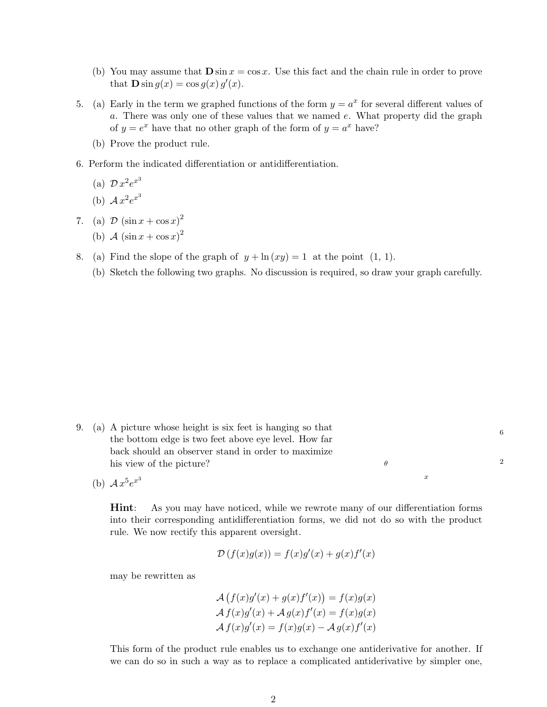- (b) You may assume that  $\mathbf{D} \sin x = \cos x$ . Use this fact and the chain rule in order to prove that  $\mathbf{D} \sin g(x) = \cos g(x) g'(x)$ .
- 5. (a) Early in the term we graphed functions of the form  $y = a^x$  for several different values of a. There was only one of these values that we named e. What property did the graph of  $y = e^x$  have that no other graph of the form of  $y = a^x$  have?
	- (b) Prove the product rule.
- 6. Perform the indicated differentiation or antidifferentiation.

(a) 
$$
\mathcal{D}x^2e^{x^3}
$$

(b) 
$$
\mathcal{A}x^2e^{x^3}
$$

- 7. (a)  $\mathcal{D} (\sin x + \cos x)^2$ 
	- (b)  $\mathcal{A} (\sin x + \cos x)^2$
- 8. (a) Find the slope of the graph of  $y + \ln(xy) = 1$  at the point  $(1, 1)$ .
	- (b) Sketch the following two graphs. No discussion is required, so draw your graph carefully.

- 9. (a) A picture whose height is six feet is hanging so that the bottom edge is two feet above eye level. How far back should an observer stand in order to maximize his view of the picture?
	- (b)  $Ax^5e^{x^3}$

Hint: As you may have noticed, while we rewrote many of our differentiation forms into their corresponding antidifferentiation forms, we did not do so with the product rule. We now rectify this apparent oversight.

x

θ

2

6

$$
\mathcal{D}(f(x)g(x)) = f(x)g'(x) + g(x)f'(x)
$$

may be rewritten as

$$
\mathcal{A}\left(f(x)g'(x) + g(x)f'(x)\right) = f(x)g(x)
$$

$$
\mathcal{A}\,f(x)g'(x) + \mathcal{A}\,g(x)f'(x) = f(x)g(x)
$$

$$
\mathcal{A}\,f(x)g'(x) = f(x)g(x) - \mathcal{A}\,g(x)f'(x)
$$

This form of the product rule enables us to exchange one antiderivative for another. If we can do so in such a way as to replace a complicated antiderivative by simpler one,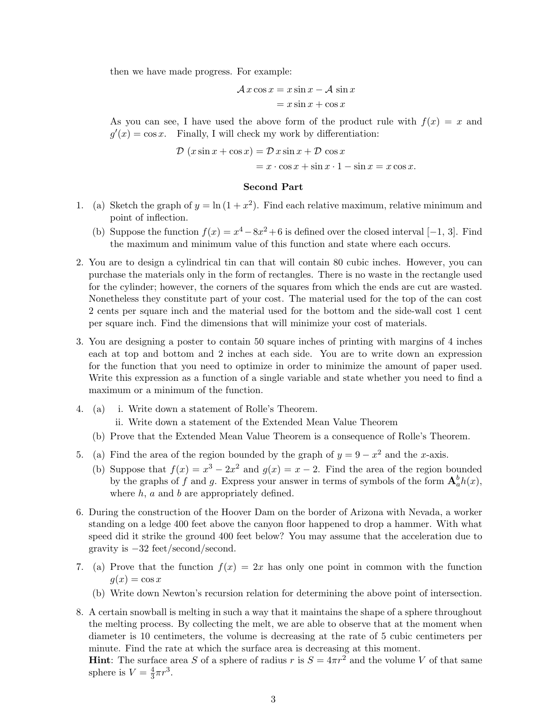then we have made progress. For example:

$$
Ax \cos x = x \sin x - A \sin x
$$

$$
= x \sin x + \cos x
$$

As you can see, I have used the above form of the product rule with  $f(x) = x$  and  $g'(x) = \cos x$ . Finally, I will check my work by differentiation:

$$
\mathcal{D}(x\sin x + \cos x) = \mathcal{D}x\sin x + \mathcal{D}\cos x
$$

$$
= x \cdot \cos x + \sin x \cdot 1 - \sin x = x \cos x.
$$

## Second Part

- 1. (a) Sketch the graph of  $y = \ln(1 + x^2)$ . Find each relative maximum, relative minimum and point of inflection.
	- (b) Suppose the function  $f(x) = x^4 8x^2 + 6$  is defined over the closed interval [-1, 3]. Find the maximum and minimum value of this function and state where each occurs.
- 2. You are to design a cylindrical tin can that will contain 80 cubic inches. However, you can purchase the materials only in the form of rectangles. There is no waste in the rectangle used for the cylinder; however, the corners of the squares from which the ends are cut are wasted. Nonetheless they constitute part of your cost. The material used for the top of the can cost 2 cents per square inch and the material used for the bottom and the side-wall cost 1 cent per square inch. Find the dimensions that will minimize your cost of materials.
- 3. You are designing a poster to contain 50 square inches of printing with margins of 4 inches each at top and bottom and 2 inches at each side. You are to write down an expression for the function that you need to optimize in order to minimize the amount of paper used. Write this expression as a function of a single variable and state whether you need to find a maximum or a minimum of the function.
- 4. (a) i. Write down a statement of Rolle's Theorem.
	- ii. Write down a statement of the Extended Mean Value Theorem
	- (b) Prove that the Extended Mean Value Theorem is a consequence of Rolle's Theorem.
- 5. (a) Find the area of the region bounded by the graph of  $y = 9 x^2$  and the x-axis.
	- (b) Suppose that  $f(x) = x^3 2x^2$  and  $g(x) = x 2$ . Find the area of the region bounded by the graphs of f and g. Express your answer in terms of symbols of the form  $\mathbf{A}_a^b h(x)$ , where  $h$ ,  $a$  and  $b$  are appropriately defined.
- 6. During the construction of the Hoover Dam on the border of Arizona with Nevada, a worker standing on a ledge 400 feet above the canyon floor happened to drop a hammer. With what speed did it strike the ground 400 feet below? You may assume that the acceleration due to gravity is −32 feet/second/second.
- 7. (a) Prove that the function  $f(x) = 2x$  has only one point in common with the function  $g(x) = \cos x$ 
	- (b) Write down Newton's recursion relation for determining the above point of intersection.
- 8. A certain snowball is melting in such a way that it maintains the shape of a sphere throughout the melting process. By collecting the melt, we are able to observe that at the moment when diameter is 10 centimeters, the volume is decreasing at the rate of 5 cubic centimeters per minute. Find the rate at which the surface area is decreasing at this moment. **Hint**: The surface area S of a sphere of radius r is  $S = 4\pi r^2$  and the volume V of that same sphere is  $V=\frac{4}{3}$  $\frac{4}{3}\pi r^3$ .